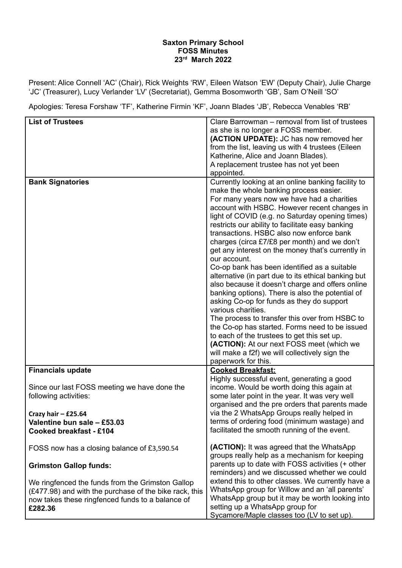## **Saxton Primary School FOSS Minutes 23 rd March 2022**

Present: Alice Connell 'AC' (Chair), Rick Weights 'RW', Eileen Watson 'EW' (Deputy Chair), Julie Charge 'JC' (Treasurer), Lucy Verlander 'LV' (Secretariat), Gemma Bosomworth 'GB', Sam O'Neill 'SO'

Apologies: Teresa Forshaw 'TF', Katherine Firmin 'KF', Joann Blades 'JB', Rebecca Venables 'RB'

| <b>List of Trustees</b>                                                                                                                                                   | Clare Barrowman – removal from list of trustees<br>as she is no longer a FOSS member.<br>(ACTION UPDATE): JC has now removed her<br>from the list, leaving us with 4 trustees (Eileen<br>Katherine, Alice and Joann Blades).<br>A replacement trustee has not yet been<br>appointed.                                                                                                                                                                                                                                                                                                                                                                                                                                                                                                                                                                                                                                                                                                                                          |
|---------------------------------------------------------------------------------------------------------------------------------------------------------------------------|-------------------------------------------------------------------------------------------------------------------------------------------------------------------------------------------------------------------------------------------------------------------------------------------------------------------------------------------------------------------------------------------------------------------------------------------------------------------------------------------------------------------------------------------------------------------------------------------------------------------------------------------------------------------------------------------------------------------------------------------------------------------------------------------------------------------------------------------------------------------------------------------------------------------------------------------------------------------------------------------------------------------------------|
| <b>Bank Signatories</b>                                                                                                                                                   | Currently looking at an online banking facility to<br>make the whole banking process easier.<br>For many years now we have had a charities<br>account with HSBC. However recent changes in<br>light of COVID (e.g. no Saturday opening times)<br>restricts our ability to facilitate easy banking<br>transactions. HSBC also now enforce bank<br>charges (circa £7/£8 per month) and we don't<br>get any interest on the money that's currently in<br>our account.<br>Co-op bank has been identified as a suitable<br>alternative (in part due to its ethical banking but<br>also because it doesn't charge and offers online<br>banking options). There is also the potential of<br>asking Co-op for funds as they do support<br>various charities.<br>The process to transfer this over from HSBC to<br>the Co-op has started. Forms need to be issued<br>to each of the trustees to get this set up.<br>(ACTION): At our next FOSS meet (which we<br>will make a f2f) we will collectively sign the<br>paperwork for this. |
| <b>Financials update</b>                                                                                                                                                  | <b>Cooked Breakfast:</b><br>Highly successful event, generating a good                                                                                                                                                                                                                                                                                                                                                                                                                                                                                                                                                                                                                                                                                                                                                                                                                                                                                                                                                        |
| Since our last FOSS meeting we have done the<br>following activities:                                                                                                     | income. Would be worth doing this again at<br>some later point in the year. It was very well<br>organised and the pre orders that parents made                                                                                                                                                                                                                                                                                                                                                                                                                                                                                                                                                                                                                                                                                                                                                                                                                                                                                |
| Crazy hair $-$ £25.64                                                                                                                                                     | via the 2 WhatsApp Groups really helped in                                                                                                                                                                                                                                                                                                                                                                                                                                                                                                                                                                                                                                                                                                                                                                                                                                                                                                                                                                                    |
| Valentine bun sale - £53.03<br>Cooked breakfast - £104                                                                                                                    | terms of ordering food (minimum wastage) and<br>facilitated the smooth running of the event.                                                                                                                                                                                                                                                                                                                                                                                                                                                                                                                                                                                                                                                                                                                                                                                                                                                                                                                                  |
| FOSS now has a closing balance of £3,590.54                                                                                                                               | (ACTION): It was agreed that the WhatsApp<br>groups really help as a mechanism for keeping                                                                                                                                                                                                                                                                                                                                                                                                                                                                                                                                                                                                                                                                                                                                                                                                                                                                                                                                    |
| <b>Grimston Gallop funds:</b>                                                                                                                                             | parents up to date with FOSS activities (+ other<br>reminders) and we discussed whether we could                                                                                                                                                                                                                                                                                                                                                                                                                                                                                                                                                                                                                                                                                                                                                                                                                                                                                                                              |
| We ringfenced the funds from the Grimston Gallop<br>(£477.98) and with the purchase of the bike rack, this<br>now takes these ringfenced funds to a balance of<br>£282.36 | extend this to other classes. We currently have a<br>WhatsApp group for Willow and an 'all parents'<br>WhatsApp group but it may be worth looking into<br>setting up a WhatsApp group for<br>Sycamore/Maple classes too (LV to set up).                                                                                                                                                                                                                                                                                                                                                                                                                                                                                                                                                                                                                                                                                                                                                                                       |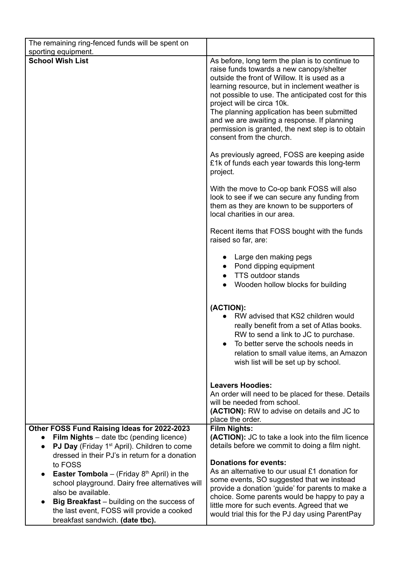| The remaining ring-fenced funds will be spent on<br>sporting equipment.                                                       |                                                                                                                                                                                                                                                                                                                                                                                                                                                                  |
|-------------------------------------------------------------------------------------------------------------------------------|------------------------------------------------------------------------------------------------------------------------------------------------------------------------------------------------------------------------------------------------------------------------------------------------------------------------------------------------------------------------------------------------------------------------------------------------------------------|
| <b>School Wish List</b>                                                                                                       | As before, long term the plan is to continue to<br>raise funds towards a new canopy/shelter<br>outside the front of Willow. It is used as a<br>learning resource, but in inclement weather is<br>not possible to use. The anticipated cost for this<br>project will be circa 10k.<br>The planning application has been submitted<br>and we are awaiting a response. If planning<br>permission is granted, the next step is to obtain<br>consent from the church. |
|                                                                                                                               | As previously agreed, FOSS are keeping aside<br>£1k of funds each year towards this long-term<br>project.                                                                                                                                                                                                                                                                                                                                                        |
|                                                                                                                               | With the move to Co-op bank FOSS will also<br>look to see if we can secure any funding from<br>them as they are known to be supporters of<br>local charities in our area.                                                                                                                                                                                                                                                                                        |
|                                                                                                                               | Recent items that FOSS bought with the funds<br>raised so far, are:                                                                                                                                                                                                                                                                                                                                                                                              |
|                                                                                                                               | Large den making pegs<br>• Pond dipping equipment<br><b>TTS outdoor stands</b><br>Wooden hollow blocks for building                                                                                                                                                                                                                                                                                                                                              |
|                                                                                                                               | (ACTION):<br>RW advised that KS2 children would<br>really benefit from a set of Atlas books.<br>RW to send a link to JC to purchase.<br>To better serve the schools needs in<br>relation to small value items, an Amazon<br>wish list will be set up by school.                                                                                                                                                                                                  |
|                                                                                                                               | <b>Leavers Hoodies:</b><br>An order will need to be placed for these. Details<br>will be needed from school.<br>(ACTION): RW to advise on details and JC to<br>place the order.                                                                                                                                                                                                                                                                                  |
| Other FOSS Fund Raising Ideas for 2022-2023                                                                                   | <b>Film Nights:</b>                                                                                                                                                                                                                                                                                                                                                                                                                                              |
| <b>Film Nights</b> – date tbc (pending licence)                                                                               | (ACTION): JC to take a look into the film licence                                                                                                                                                                                                                                                                                                                                                                                                                |
| <b>PJ Day</b> (Friday 1 <sup>st</sup> April). Children to come<br>$\bullet$<br>dressed in their PJ's in return for a donation | details before we commit to doing a film night.                                                                                                                                                                                                                                                                                                                                                                                                                  |
| to FOSS                                                                                                                       | <b>Donations for events:</b>                                                                                                                                                                                                                                                                                                                                                                                                                                     |
| <b>Easter Tombola</b> – (Friday $8th$ April) in the                                                                           | As an alternative to our usual £1 donation for                                                                                                                                                                                                                                                                                                                                                                                                                   |
| school playground. Dairy free alternatives will                                                                               | some events, SO suggested that we instead<br>provide a donation 'guide' for parents to make a                                                                                                                                                                                                                                                                                                                                                                    |
| also be available.                                                                                                            | choice. Some parents would be happy to pay a                                                                                                                                                                                                                                                                                                                                                                                                                     |
| Big Breakfast - building on the success of<br>the last event, FOSS will provide a cooked                                      | little more for such events. Agreed that we                                                                                                                                                                                                                                                                                                                                                                                                                      |
| breakfast sandwich. (date tbc).                                                                                               | would trial this for the PJ day using ParentPay                                                                                                                                                                                                                                                                                                                                                                                                                  |